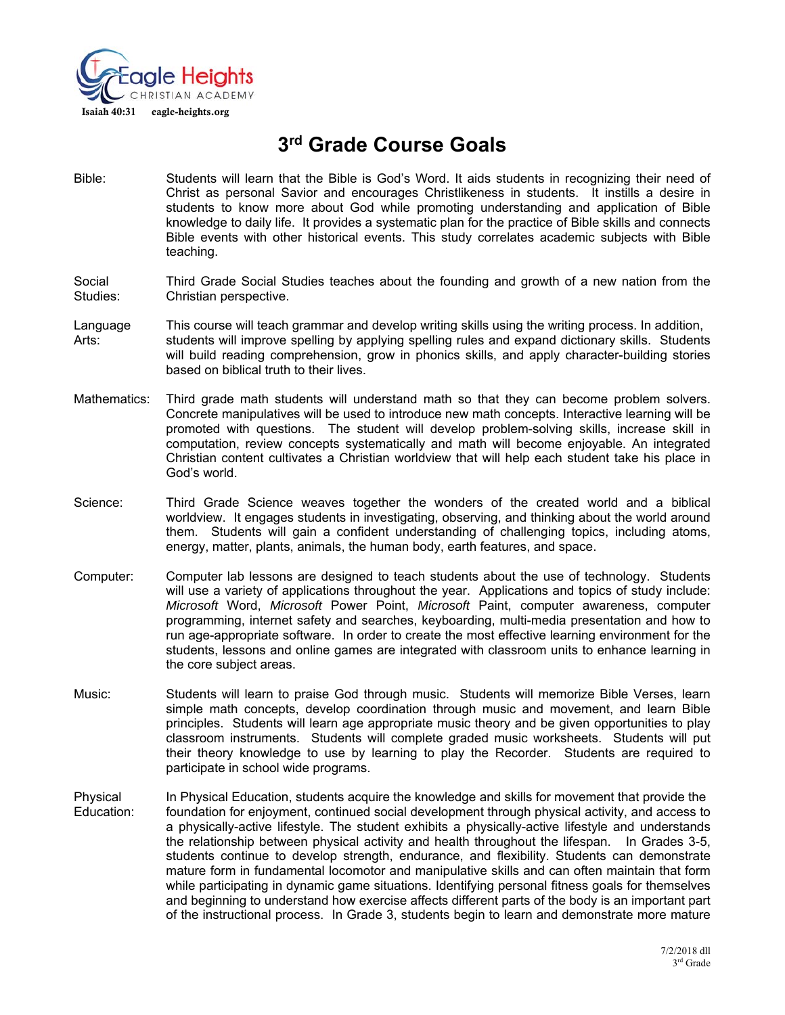

# **3rd Grade Course Goals**

Bible: Students will learn that the Bible is God's Word. It aids students in recognizing their need of Christ as personal Savior and encourages Christlikeness in students. It instills a desire in students to know more about God while promoting understanding and application of Bible knowledge to daily life. It provides a systematic plan for the practice of Bible skills and connects Bible events with other historical events. This study correlates academic subjects with Bible teaching.

#### Social Third Grade Social Studies teaches about the founding and growth of a new nation from the Studies: Christian perspective.

- Language This course will teach grammar and develop writing skills using the writing process. In addition, Arts: students will improve spelling by applying spelling rules and expand dictionary skills. Students will build reading comprehension, grow in phonics skills, and apply character-building stories based on biblical truth to their lives.
- Mathematics: Third grade math students will understand math so that they can become problem solvers. Concrete manipulatives will be used to introduce new math concepts. Interactive learning will be promoted with questions. The student will develop problem-solving skills, increase skill in computation, review concepts systematically and math will become enjoyable. An integrated Christian content cultivates a Christian worldview that will help each student take his place in God's world.
- Science: Third Grade Science weaves together the wonders of the created world and a biblical worldview. It engages students in investigating, observing, and thinking about the world around them. Students will gain a confident understanding of challenging topics, including atoms, energy, matter, plants, animals, the human body, earth features, and space.
- Computer: Computer lab lessons are designed to teach students about the use of technology. Students will use a variety of applications throughout the year. Applications and topics of study include: *Microsoft* Word, *Microsoft* Power Point, *Microsoft* Paint, computer awareness, computer programming, internet safety and searches, keyboarding, multi-media presentation and how to run age-appropriate software. In order to create the most effective learning environment for the students, lessons and online games are integrated with classroom units to enhance learning in the core subject areas.
- Music: Students will learn to praise God through music. Students will memorize Bible Verses, learn simple math concepts, develop coordination through music and movement, and learn Bible principles. Students will learn age appropriate music theory and be given opportunities to play classroom instruments. Students will complete graded music worksheets. Students will put their theory knowledge to use by learning to play the Recorder. Students are required to participate in school wide programs.
- Physical In Physical Education, students acquire the knowledge and skills for movement that provide the Education: foundation for enjoyment, continued social development through physical activity, and access to a physically-active lifestyle. The student exhibits a physically-active lifestyle and understands the relationship between physical activity and health throughout the lifespan. In Grades 3-5, students continue to develop strength, endurance, and flexibility. Students can demonstrate mature form in fundamental locomotor and manipulative skills and can often maintain that form while participating in dynamic game situations. Identifying personal fitness goals for themselves and beginning to understand how exercise affects different parts of the body is an important part of the instructional process. In Grade 3, students begin to learn and demonstrate more mature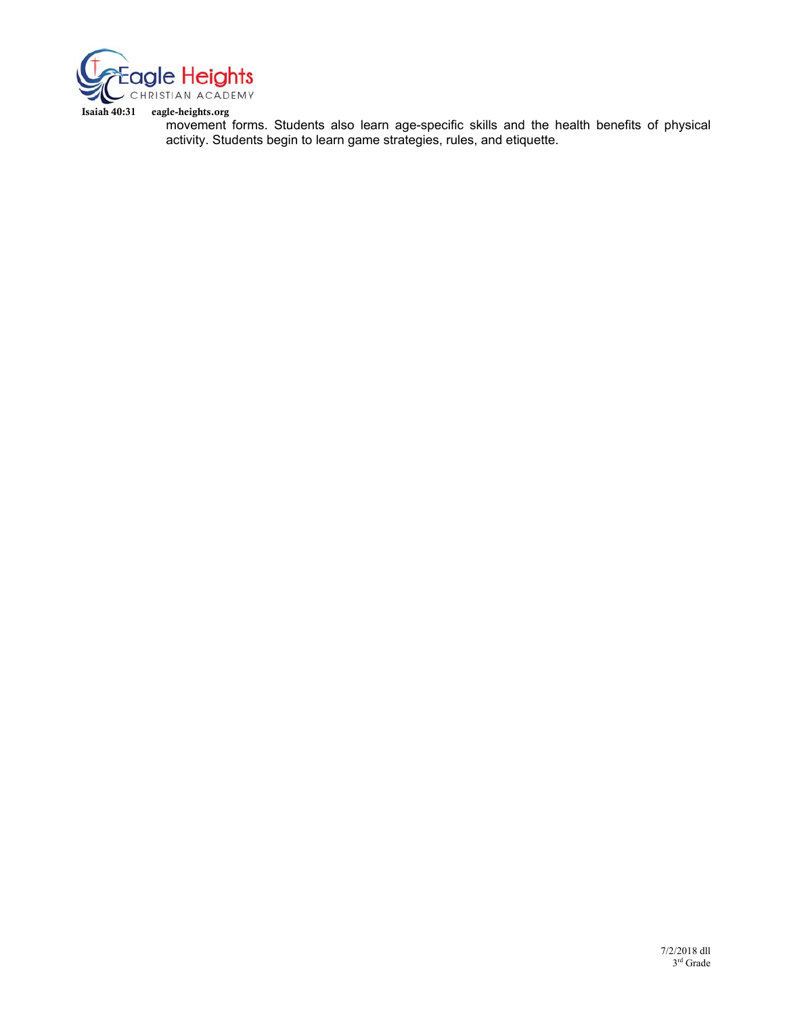

Isaiah 40:31 eagle-heights.org

movement forms. Students also learn age-specific skills and the health benefits of physical activity. Students begin to learn game strategies, rules, and etiquette.